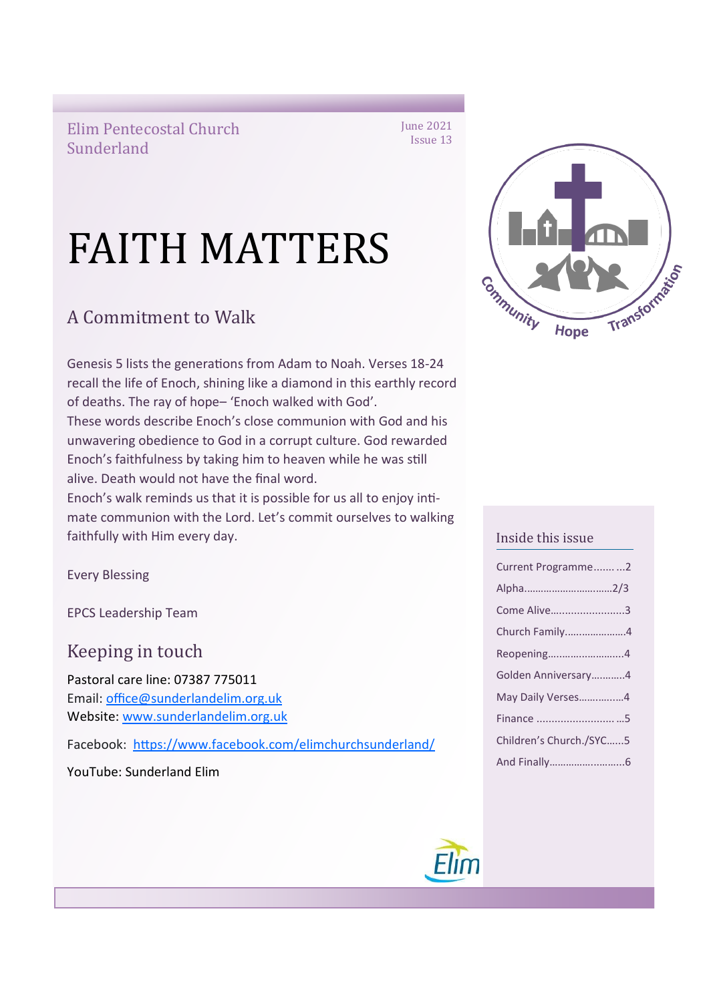Elim Pentecostal Church Sunderland

# FAITH MATTERS

# A Commitment to Walk

Genesis 5 lists the generations from Adam to Noah. Verses 18-24 recall the life of Enoch, shining like a diamond in this earthly record of deaths. The ray of hope– 'Enoch walked with God'. These words describe Enoch's close communion with God and his unwavering obedience to God in a corrupt culture. God rewarded Enoch's faithfulness by taking him to heaven while he was still alive. Death would not have the final word.

Enoch's walk reminds us that it is possible for us all to enjoy intimate communion with the Lord. Let's commit ourselves to walking faithfully with Him every day.

Every Blessing

EPCS Leadership Team

Keeping in touch

Pastoral care line: 07387 775011 Email: [office@sunderlandelim.org.uk](about:blank) Website: [www.sunderlandelim.org.uk](http://www.sunderlandelim.org.uk)

Facebook: [https://www.facebook.com/elimchurchsunderland/](about:blank)

YouTube: Sunderland Elim



### Inside this issue

| Current Programme2      |  |
|-------------------------|--|
| Alpha2/3                |  |
| Come Alive3             |  |
| Church Family4          |  |
| Reopening4              |  |
| Golden Anniversary4     |  |
| May Daily Verses4       |  |
|                         |  |
| Children's Church./SYC5 |  |
|                         |  |

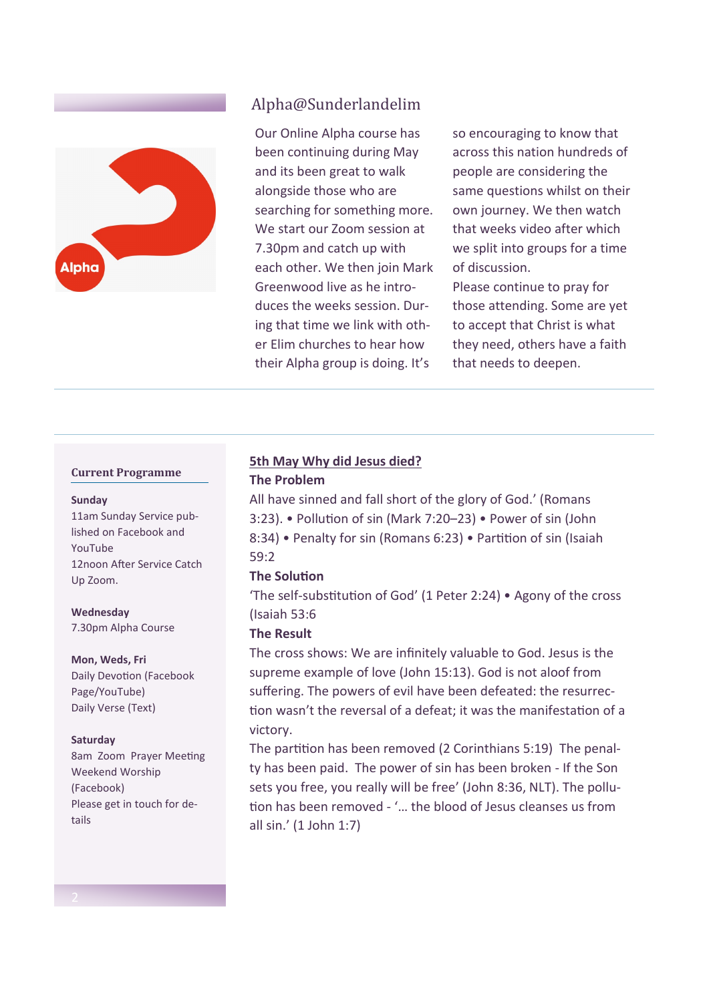

## Alpha@Sunderlandelim

Our Online Alpha course has been continuing during May and its been great to walk alongside those who are searching for something more. We start our Zoom session at 7.30pm and catch up with each other. We then join Mark Greenwood live as he introduces the weeks session. During that time we link with other Elim churches to hear how their Alpha group is doing. It's

so encouraging to know that across this nation hundreds of people are considering the same questions whilst on their own journey. We then watch that weeks video after which we split into groups for a time of discussion.

Please continue to pray for those attending. Some are yet to accept that Christ is what they need, others have a faith that needs to deepen.

#### **Current Programme**

#### **Sunday**

11am Sunday Service published on Facebook and YouTube 12noon After Service Catch Up Zoom.

**Wednesday**

7.30pm Alpha Course

#### **Mon, Weds, Fri**

Daily Devotion (Facebook Page/YouTube) Daily Verse (Text)

#### **Saturday**

8am Zoom Prayer Meeting Weekend Worship (Facebook) Please get in touch for details

# **5th May Why did Jesus died?**

#### **The Problem**

All have sinned and fall short of the glory of God.' (Romans 3:23). • Pollution of sin (Mark 7:20–23) • Power of sin (John 8:34) • Penalty for sin (Romans 6:23) • Partition of sin (Isaiah 59:2

#### **The Solution**

'The self-substitution of God' (1 Peter 2:24) • Agony of the cross (Isaiah 53:6

#### **The Result**

The cross shows: We are infinitely valuable to God. Jesus is the supreme example of love (John 15:13). God is not aloof from suffering. The powers of evil have been defeated: the resurrection wasn't the reversal of a defeat; it was the manifestation of a victory.

The partition has been removed (2 Corinthians 5:19) The penalty has been paid. The power of sin has been broken - If the Son sets you free, you really will be free' (John 8:36, NLT). The pollution has been removed - '… the blood of Jesus cleanses us from all sin.' (1 John 1:7)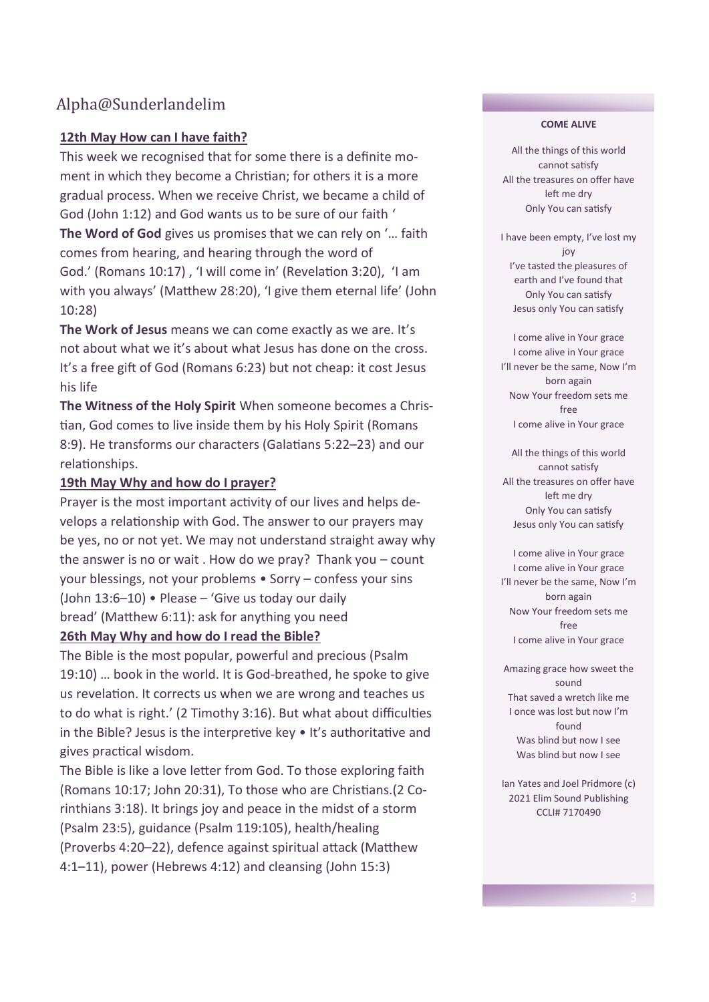## Alpha@Sunderlandelim

## **12th May How can I have faith?**

This week we recognised that for some there is a definite moment in which they become a Christian; for others it is a more gradual process. When we receive Christ, we became a child of God (John 1:12) and God wants us to be sure of our faith ' **The Word of God** gives us promises that we can rely on '… faith comes from hearing, and hearing through the word of God.' (Romans 10:17) , 'I will come in' (Revelation 3:20), 'I am with you always' (Matthew 28:20), 'I give them eternal life' (John 10:28)

**The Work of Jesus** means we can come exactly as we are. It's not about what we it's about what Jesus has done on the cross. It's a free gift of God (Romans 6:23) but not cheap: it cost Jesus his life

**The Witness of the Holy Spirit** When someone becomes a Christian, God comes to live inside them by his Holy Spirit (Romans 8:9). He transforms our characters (Galatians 5:22–23) and our relationships.

### **19th May Why and how do I prayer?**

Prayer is the most important activity of our lives and helps develops a relationship with God. The answer to our prayers may be yes, no or not yet. We may not understand straight away why the answer is no or wait . How do we pray? Thank you – count your blessings, not your problems • Sorry – confess your sins (John 13:6–10) • Please – 'Give us today our daily bread' (Matthew 6:11): ask for anything you need **26th May Why and how do I read the Bible?**

The Bible is the most popular, powerful and precious (Psalm 19:10) … book in the world. It is God-breathed, he spoke to give us revelation. It corrects us when we are wrong and teaches us to do what is right.' (2 Timothy 3:16). But what about difficulties in the Bible? Jesus is the interpretive key • It's authoritative and gives practical wisdom.

The Bible is like a love letter from God. To those exploring faith (Romans 10:17; John 20:31), To those who are Christians.(2 Corinthians 3:18). It brings joy and peace in the midst of a storm (Psalm 23:5), guidance (Psalm 119:105), health/healing (Proverbs 4:20–22), defence against spiritual attack (Matthew 4:1–11), power (Hebrews 4:12) and cleansing (John 15:3)

#### **COME ALIVE**

All the things of this world cannot satisfy All the treasures on offer have left me dry Only You can satisfy

I have been empty, I've lost my joy I've tasted the pleasures of earth and I've found that Only You can satisfy Jesus only You can satisfy

I come alive in Your grace I come alive in Your grace I'll never be the same, Now I'm born again Now Your freedom sets me free I come alive in Your grace

All the things of this world cannot satisfy All the treasures on offer have left me dry Only You can satisfy Jesus only You can satisfy

I come alive in Your grace I come alive in Your grace I'll never be the same, Now I'm born again Now Your freedom sets me free I come alive in Your grace

Amazing grace how sweet the sound That saved a wretch like me I once was lost but now I'm found Was blind but now I see Was blind but now I see

Ian Yates and Joel Pridmore (c) 2021 Elim Sound Publishing CCLI# 7170490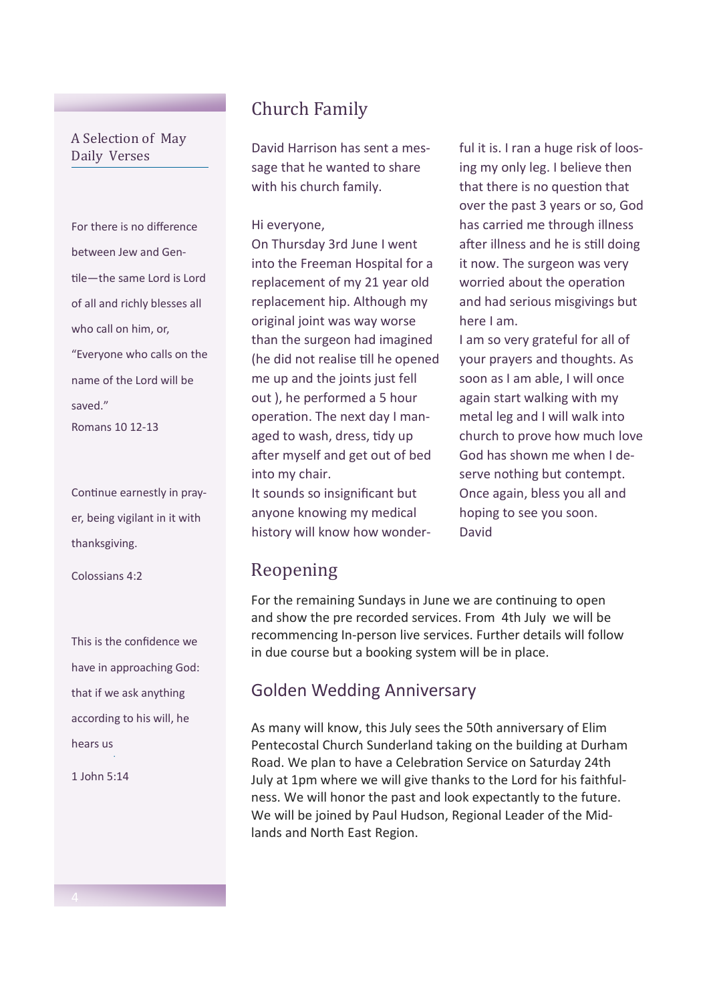## A Selection of May Daily Verses

For there is no difference between Jew and Gentile—the same Lord is Lord of all and richly blesses all who call on him, or, "Everyone who calls on the name of the Lord will be saved." Romans 10 12-13

Continue earnestly in prayer, being vigilant in it with thanksgiving.

Colossians 4:2

This is the confidence we have in approaching God: that if we ask anything according to his will, he hears us .

1 John 5:14

# Church Family

David Harrison has sent a message that he wanted to share with his church family.

#### Hi everyone,

On Thursday 3rd June I went into the Freeman Hospital for a replacement of my 21 year old replacement hip. Although my original joint was way worse than the surgeon had imagined (he did not realise till he opened me up and the joints just fell out ), he performed a 5 hour operation. The next day I managed to wash, dress, tidy up after myself and get out of bed into my chair.

It sounds so insignificant but anyone knowing my medical history will know how wonder-

## Reopening

For the remaining Sundays in June we are continuing to open and show the pre recorded services. From 4th July we will be recommencing In-person live services. Further details will follow in due course but a booking system will be in place.

## Golden Wedding Anniversary

As many will know, this July sees the 50th anniversary of Elim Pentecostal Church Sunderland taking on the building at Durham Road. We plan to have a Celebration Service on Saturday 24th July at 1pm where we will give thanks to the Lord for his faithfulness. We will honor the past and look expectantly to the future. We will be joined by Paul Hudson, Regional Leader of the Midlands and North East Region.

ful it is. I ran a huge risk of loosing my only leg. I believe then that there is no question that over the past 3 years or so, God has carried me through illness after illness and he is still doing it now. The surgeon was very worried about the operation and had serious misgivings but here I am.

I am so very grateful for all of your prayers and thoughts. As soon as I am able, I will once again start walking with my metal leg and I will walk into church to prove how much love God has shown me when I deserve nothing but contempt. Once again, bless you all and hoping to see you soon. David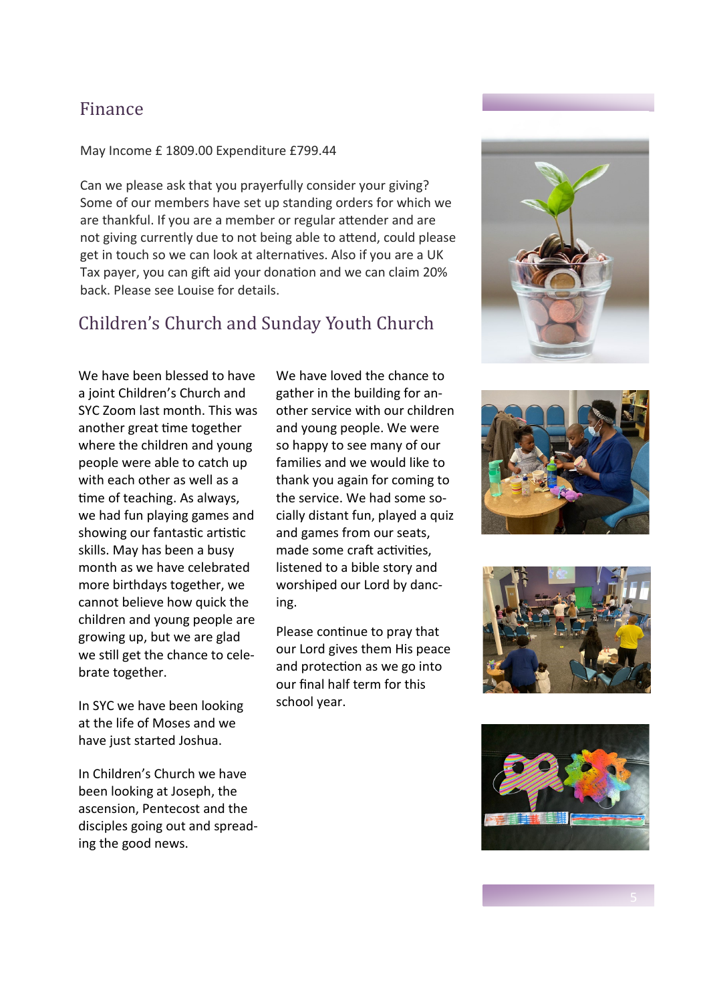## Finance

#### May Income £ 1809.00 Expenditure £799.44

Can we please ask that you prayerfully consider your giving? Some of our members have set up standing orders for which we are thankful. If you are a member or regular attender and are not giving currently due to not being able to attend, could please get in touch so we can look at alternatives. Also if you are a UK Tax payer, you can gift aid your donation and we can claim 20% back. Please see Louise for details.

## Children's Church and Sunday Youth Church

We have been blessed to have a joint Children's Church and SYC Zoom last month. This was another great time together where the children and young people were able to catch up with each other as well as a time of teaching. As always, we had fun playing games and showing our fantastic artistic skills. May has been a busy month as we have celebrated more birthdays together, we cannot believe how quick the children and young people are growing up, but we are glad we still get the chance to celebrate together.

In SYC we have been looking at the life of Moses and we have just started Joshua.

In Children's Church we have been looking at Joseph, the ascension, Pentecost and the disciples going out and spreading the good news.

We have loved the chance to gather in the building for another service with our children and young people. We were so happy to see many of our families and we would like to thank you again for coming to the service. We had some socially distant fun, played a quiz and games from our seats, made some craft activities, listened to a bible story and worshiped our Lord by dancing.

Please continue to pray that our Lord gives them His peace and protection as we go into our final half term for this school year.